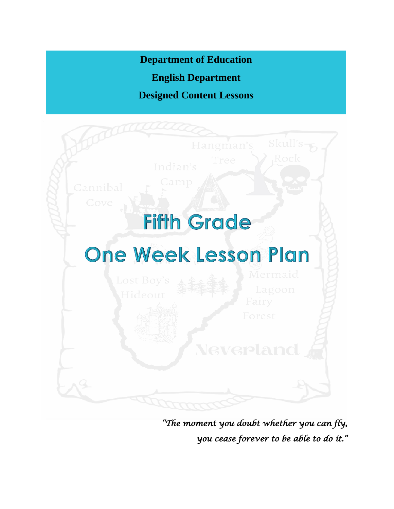**Department of Education**

**English Department**

**Designed Content Lessons**



*"The moment you doubt whether you can fly, you cease forever to be able to do it."*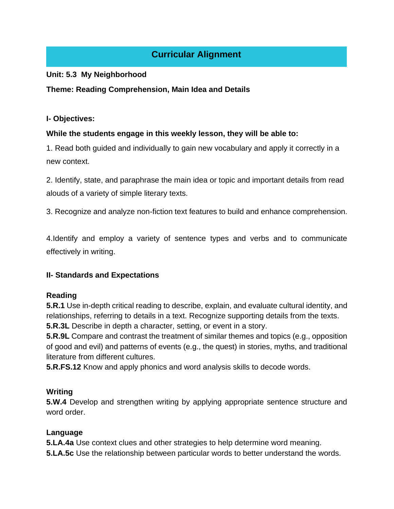# **Curricular Alignment**

#### **Unit: 5.3 My Neighborhood**

#### **Theme: Reading Comprehension, Main Idea and Details**

#### **I- Objectives:**

#### **While the students engage in this weekly lesson, they will be able to:**

1. Read both guided and individually to gain new vocabulary and apply it correctly in a new context.

2. Identify, state, and paraphrase the main idea or topic and important details from read alouds of a variety of simple literary texts.

3. Recognize and analyze non-fiction text features to build and enhance comprehension.

4.Identify and employ a variety of sentence types and verbs and to communicate effectively in writing.

## **II- Standards and Expectations**

## **Reading**

**5.R.1** Use in-depth critical reading to describe, explain, and evaluate cultural identity, and relationships, referring to details in a text. Recognize supporting details from the texts. **5.R.3L** Describe in depth a character, setting, or event in a story.

**5.R.9L** Compare and contrast the treatment of similar themes and topics (e.g., opposition of good and evil) and patterns of events (e.g., the quest) in stories, myths, and traditional literature from different cultures.

**5.R.FS.12** Know and apply phonics and word analysis skills to decode words.

#### **Writing**

**5.W.4** Develop and strengthen writing by applying appropriate sentence structure and word order.

## **Language**

**5.LA.4a** Use context clues and other strategies to help determine word meaning.

**5.LA.5c** Use the relationship between particular words to better understand the words.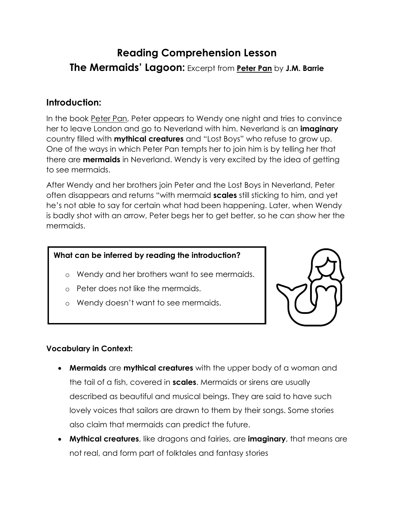# **Reading Comprehension Lesson The Mermaids' Lagoon:** Excerpt from **Peter Pan** by **J.M. Barrie**

## **Introduction:**

In the book Peter Pan, Peter appears to Wendy one night and tries to convince her to leave London and go to Neverland with him. Neverland is an **imaginary** country filled with **mythical creatures** and "Lost Boys" who refuse to grow up. One of the ways in which Peter Pan tempts her to join him is by telling her that there are **mermaids** in Neverland. Wendy is very excited by the idea of getting to see mermaids.

After Wendy and her brothers join Peter and the Lost Boys in Neverland, Peter often disappears and returns "with mermaid **scales** still sticking to him, and yet he's not able to say for certain what had been happening. Later, when Wendy is badly shot with an arrow, Peter begs her to get better, so he can show her the mermaids.

## **What can be inferred by reading the introduction?**

- o Wendy and her brothers want to see mermaids.
- o Peter does not like the mermaids.
- o Wendy doesn't want to see mermaids.



## **Vocabulary in Context:**

- **Mermaids** are **mythical creatures** with the upper body of a woman and the tail of a fish, covered in **scales**. Mermaids or sirens are usually described as beautiful and musical beings. They are said to have such lovely voices that sailors are drawn to them by their songs. Some stories also claim that mermaids can predict the future.
- **Mythical creatures**, like dragons and fairies, are **imaginary**, that means are not real, and form part of folktales and fantasy stories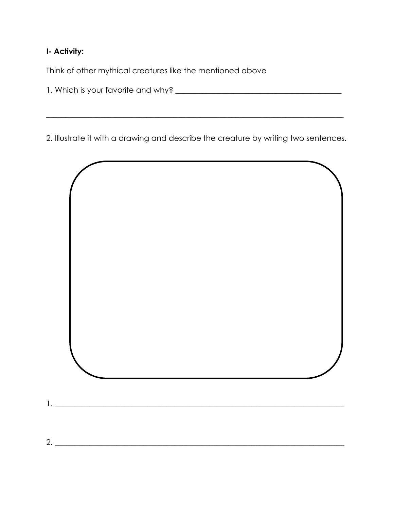## **I- Activity:**

Think of other mythical creatures like the mentioned above

1. Which is your favorite and why? \_\_\_\_\_\_\_\_\_\_\_\_\_\_\_\_\_\_\_\_\_\_\_\_\_\_\_\_\_\_\_\_\_\_\_\_\_\_\_\_\_\_\_

2. Illustrate it with a drawing and describe the creature by writing two sentences.

 $\_$  , and the set of the set of the set of the set of the set of the set of the set of the set of the set of the set of the set of the set of the set of the set of the set of the set of the set of the set of the set of th

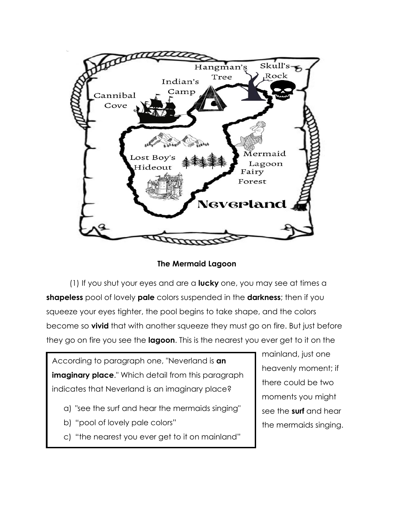

**The Mermaid Lagoon**

(1) If you shut your eyes and are a **lucky** one, you may see at times a **shapeless** pool of lovely **pale** colors suspended in the **darkness**; then if you squeeze your eyes tighter, the pool begins to take shape, and the colors become so **vivid** that with another squeeze they must go on fire. But just before they go on fire you see the **lagoon**. This is the nearest you ever get to it on the

According to paragraph one, "Neverland is **an imaginary place**." Which detail from this paragraph indicates that Neverland is an imaginary place?

- a) "see the surf and hear the mermaids singing"
- b) "pool of lovely pale colors"
- c) "the nearest you ever get to it on mainland"

mainland, just one heavenly moment; if there could be two moments you might see the **surf** and hear the mermaids singing.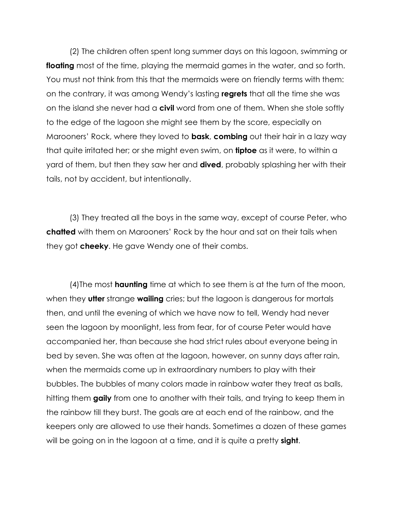(2) The children often spent long summer days on this lagoon, swimming or **floating** most of the time, playing the mermaid games in the water, and so forth. You must not think from this that the mermaids were on friendly terms with them: on the contrary, it was among Wendy's lasting **regrets** that all the time she was on the island she never had a **civil** word from one of them. When she stole softly to the edge of the lagoon she might see them by the score, especially on Marooners' Rock, where they loved to **bask**, **combing** out their hair in a lazy way that quite irritated her; or she might even swim, on **tiptoe** as it were, to within a yard of them, but then they saw her and **dived**, probably splashing her with their tails, not by accident, but intentionally.

(3) They treated all the boys in the same way, except of course Peter, who **chatted** with them on Marooners' Rock by the hour and sat on their tails when they got **cheeky**. He gave Wendy one of their combs.

(4)The most **haunting** time at which to see them is at the turn of the moon, when they **utter** strange **wailing** cries; but the lagoon is dangerous for mortals then, and until the evening of which we have now to tell, Wendy had never seen the lagoon by moonlight, less from fear, for of course Peter would have accompanied her, than because she had strict rules about everyone being in bed by seven. She was often at the lagoon, however, on sunny days after rain, when the mermaids come up in extraordinary numbers to play with their bubbles. The bubbles of many colors made in rainbow water they treat as balls, hitting them **gaily** from one to another with their tails, and trying to keep them in the rainbow till they burst. The goals are at each end of the rainbow, and the keepers only are allowed to use their hands. Sometimes a dozen of these games will be going on in the lagoon at a time, and it is quite a pretty **sight**.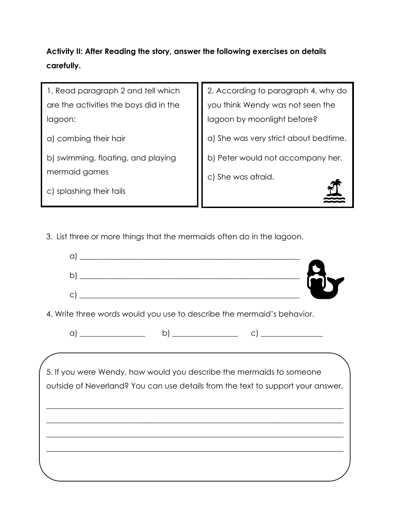# **Activity II: After Reading the story, answer the following exercises on details carefully.**

1. Read paragraph 2 and tell which are the activities the boys did in the lagoon: a) combing their hair b) swimming, floating, and playing mermaid games c) splashing their tails 2. According to paragraph 4, why do you think Wendy was not seen the lagoon by moonlight before? a) She was very strict about bedtime. b) Peter would not accompany her. c) She was afraid.

3. List three or more things that the mermaids often do in the lagoon.



4. Write three words would you use to describe the mermaid's behavior.

5. If you were Wendy, how would you describe the mermaids to someone outside of Neverland? You can use details from the text to support your answer.

 $\_$  , and the set of the set of the set of the set of the set of the set of the set of the set of the set of the set of the set of the set of the set of the set of the set of the set of the set of the set of the set of th

 $\_$  , and the set of the set of the set of the set of the set of the set of the set of the set of the set of the set of the set of the set of the set of the set of the set of the set of the set of the set of the set of th

 $\_$  , and the set of the set of the set of the set of the set of the set of the set of the set of the set of the set of the set of the set of the set of the set of the set of the set of the set of the set of the set of th

 $\_$  , and the set of the set of the set of the set of the set of the set of the set of the set of the set of the set of the set of the set of the set of the set of the set of the set of the set of the set of the set of th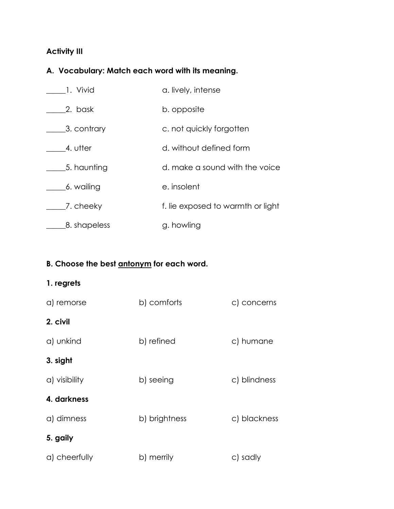# **Activity III**

# **A. Vocabulary: Match each word with its meaning.**

| 1. Vivid     | a. lively, intense                |
|--------------|-----------------------------------|
| 2. bask      | b. opposite                       |
| 3. contrary  | c. not quickly forgotten          |
| 4. utter     | d. without defined form           |
| 5. haunting  | d. make a sound with the voice    |
| 6. wailing   | e. insolent                       |
| 7. cheeky    | f. lie exposed to warmth or light |
| 8. shapeless | g. howling                        |

# **B. Choose the best antonym for each word.**

## **1. regrets**

| a) remorse    | b) comforts   | c) concerns  |
|---------------|---------------|--------------|
| 2. civil      |               |              |
| a) unkind     | b) refined    | c) humane    |
| 3. sight      |               |              |
| a) visibility | b) seeing     | c) blindness |
| 4. darkness   |               |              |
| a) dimness    | b) brightness | c) blackness |
| 5. gaily      |               |              |
| a) cheerfully | b) merrily    | c) sadly     |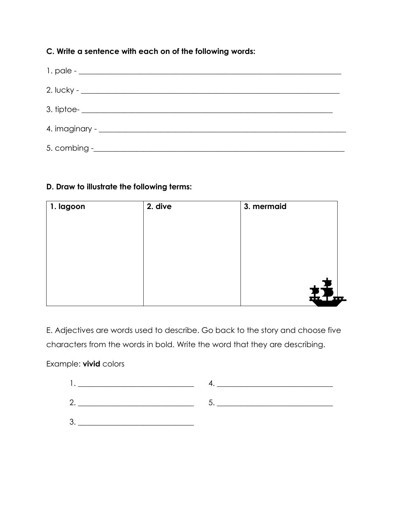## **C. Write a sentence with each on of the following words:**

## **D. Draw to illustrate the following terms:**

| 2. dive | 3. mermaid |                         |
|---------|------------|-------------------------|
|         |            |                         |
|         |            |                         |
|         |            |                         |
|         |            |                         |
|         |            |                         |
|         |            | ,<br>$\frac{1}{2}$<br>ᄪ |
|         |            |                         |

E. Adjectives are words used to describe. Go back to the story and choose five characters from the words in bold. Write the word that they are describing.

## Example: **vivid** colors

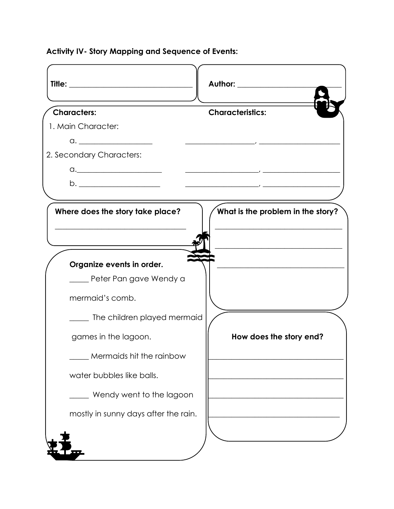**Activity IV- Story Mapping and Sequence of Events:**

|                                                                                                                                                                                                                                                                                                                                                                                             | Author: Authority of the Authority of the Authority of the Authority of the Authority of the Authority of the A                                                                                                                                                                                                                                                              |
|---------------------------------------------------------------------------------------------------------------------------------------------------------------------------------------------------------------------------------------------------------------------------------------------------------------------------------------------------------------------------------------------|------------------------------------------------------------------------------------------------------------------------------------------------------------------------------------------------------------------------------------------------------------------------------------------------------------------------------------------------------------------------------|
| <b>Characters:</b>                                                                                                                                                                                                                                                                                                                                                                          | <b>Characteristics:</b>                                                                                                                                                                                                                                                                                                                                                      |
| 1. Main Character:                                                                                                                                                                                                                                                                                                                                                                          |                                                                                                                                                                                                                                                                                                                                                                              |
|                                                                                                                                                                                                                                                                                                                                                                                             |                                                                                                                                                                                                                                                                                                                                                                              |
| 2. Secondary Characters:                                                                                                                                                                                                                                                                                                                                                                    |                                                                                                                                                                                                                                                                                                                                                                              |
| $\begin{picture}(180,10) \put(0,0){\dashbox{0.5}(10,0){ }} \put(15,0){\circle{10}} \put(15,0){\circle{10}} \put(15,0){\circle{10}} \put(15,0){\circle{10}} \put(15,0){\circle{10}} \put(15,0){\circle{10}} \put(15,0){\circle{10}} \put(15,0){\circle{10}} \put(15,0){\circle{10}} \put(15,0){\circle{10}} \put(15,0){\circle{10}} \put(15,0){\circle{10}} \put(15,0){\circle{10}} \put(15$ | $\overline{\phantom{a}}$ , and the contract of the contract of $\overline{\phantom{a}}$ , and $\overline{\phantom{a}}$ , and $\overline{\phantom{a}}$ , and $\overline{\phantom{a}}$ , and $\overline{\phantom{a}}$ , and $\overline{\phantom{a}}$ , and $\overline{\phantom{a}}$ , and $\overline{\phantom{a}}$ , and $\overline{\phantom{a}}$ , and $\overline{\phantom{a$ |
|                                                                                                                                                                                                                                                                                                                                                                                             |                                                                                                                                                                                                                                                                                                                                                                              |
| Where does the story take place?                                                                                                                                                                                                                                                                                                                                                            | What is the problem in the story?                                                                                                                                                                                                                                                                                                                                            |
|                                                                                                                                                                                                                                                                                                                                                                                             |                                                                                                                                                                                                                                                                                                                                                                              |
| Organize events in order.                                                                                                                                                                                                                                                                                                                                                                   |                                                                                                                                                                                                                                                                                                                                                                              |
| ____ Peter Pan gave Wendy a                                                                                                                                                                                                                                                                                                                                                                 |                                                                                                                                                                                                                                                                                                                                                                              |
| mermaid's comb.                                                                                                                                                                                                                                                                                                                                                                             |                                                                                                                                                                                                                                                                                                                                                                              |
| The children played mermaid                                                                                                                                                                                                                                                                                                                                                                 |                                                                                                                                                                                                                                                                                                                                                                              |
| games in the lagoon.                                                                                                                                                                                                                                                                                                                                                                        | How does the story end?                                                                                                                                                                                                                                                                                                                                                      |
| Mermaids hit the rainbow                                                                                                                                                                                                                                                                                                                                                                    |                                                                                                                                                                                                                                                                                                                                                                              |
| water bubbles like balls.                                                                                                                                                                                                                                                                                                                                                                   |                                                                                                                                                                                                                                                                                                                                                                              |
| Wendy went to the lagoon                                                                                                                                                                                                                                                                                                                                                                    |                                                                                                                                                                                                                                                                                                                                                                              |
| mostly in sunny days after the rain.                                                                                                                                                                                                                                                                                                                                                        |                                                                                                                                                                                                                                                                                                                                                                              |
|                                                                                                                                                                                                                                                                                                                                                                                             |                                                                                                                                                                                                                                                                                                                                                                              |
|                                                                                                                                                                                                                                                                                                                                                                                             |                                                                                                                                                                                                                                                                                                                                                                              |